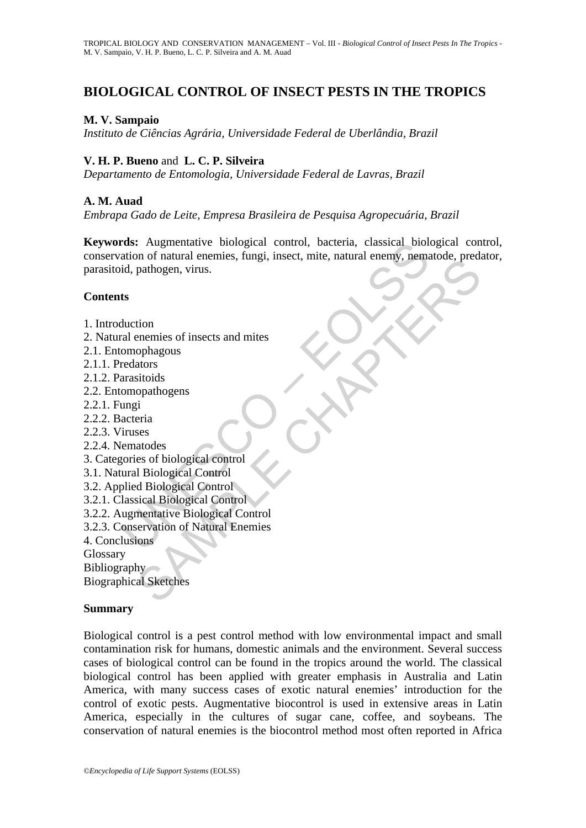# **BIOLOGICAL CONTROL OF INSECT PESTS IN THE TROPICS**

## **M. V. Sampaio**

*Instituto de Ciências Agrária, Universidade Federal de Uberlândia, Brazil* 

## **V. H. P. Bueno** and **L. C. P. Silveira**

*Departamento de Entomologia, Universidade Federal de Lavras, Brazil* 

## **A. M. Auad**

*Embrapa Gado de Leite, Empresa Brasileira de Pesquisa Agropecuária, Brazil* 

rds: Augmentative biological control, bacteria, classical biological<br>ation of natural enemies, fungi, insect, mite, natural enemy, nema<br>id, pathogen, virus.<br>ts<br>ts<br>ts<br>duction<br>ral enemies of insects and mites<br>omopphagous<br>red For the branchines, range, misele, mine, mathal elemy, demanded, prediction<br>pathogen, virus.<br>the pathogen, virus.<br>documents of insects and mites<br>ators<br>ators<br>as of biological Control<br>as as foliological Control<br>describing di **Keywords:** Augmentative biological control, bacteria, classical biological control, conservation of natural enemies, fungi, insect, mite, natural enemy, nematode, predator, parasitoid, pathogen, virus.

#### **Contents**

- 1. Introduction
- 2. Natural enemies of insects and mites
- 2.1. Entomophagous
- 2.1.1. Predators
- 2.1.2. Parasitoids
- 2.2. Entomopathogens
- 2.2.1. Fungi
- 2.2.2. Bacteria
- 2.2.3. Viruses
- 2.2.4. Nematodes
- 3. Categories of biological control
- 3.1. Natural Biological Control
- 3.2. Applied Biological Control
- 3.2.1. Classical Biological Control
- 3.2.2. Augmentative Biological Control
- 3.2.3. Conservation of Natural Enemies
- 4. Conclusions

Glossary

Bibliography  $\rightarrow$ 

Biographical Sketches

### **Summary**

Biological control is a pest control method with low environmental impact and small contamination risk for humans, domestic animals and the environment. Several success cases of biological control can be found in the tropics around the world. The classical biological control has been applied with greater emphasis in Australia and Latin America, with many success cases of exotic natural enemies' introduction for the control of exotic pests. Augmentative biocontrol is used in extensive areas in Latin America, especially in the cultures of sugar cane, coffee, and soybeans. The conservation of natural enemies is the biocontrol method most often reported in Africa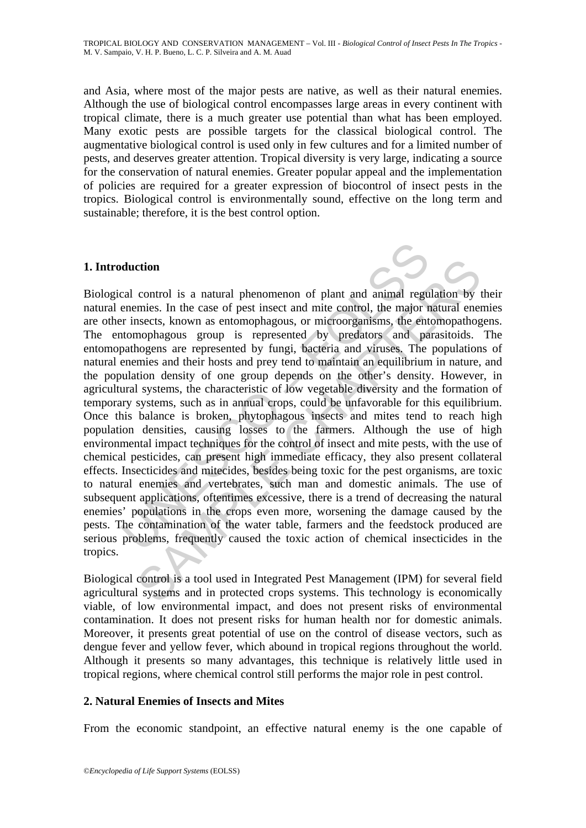and Asia, where most of the major pests are native, as well as their natural enemies. Although the use of biological control encompasses large areas in every continent with tropical climate, there is a much greater use potential than what has been employed. Many exotic pests are possible targets for the classical biological control. The augmentative biological control is used only in few cultures and for a limited number of pests, and deserves greater attention. Tropical diversity is very large, indicating a source for the conservation of natural enemies. Greater popular appeal and the implementation of policies are required for a greater expression of biocontrol of insect pests in the tropics. Biological control is environmentally sound, effective on the long term and sustainable; therefore, it is the best control option.

## **1. Introduction**

duction<br>cal control is a natural phenomenon of plant and animal regu<br>enemies. In the case of pest insect and mite control, the major r<br>insects, known as entomophagous, or microorganisms, the enti-<br>ntomophagous group is rep ction<br>control is a natural phenomenon of plant and animal regulation by<br>miniss. In the case of pest insect and mite control, the major natural ene<br>nesects, known as entomophagous, or microorganisms, the entomopathog<br>nophag Biological control is a natural phenomenon of plant and animal regulation by their natural enemies. In the case of pest insect and mite control, the major natural enemies are other insects, known as entomophagous, or microorganisms, the entomopathogens. The entomophagous group is represented by predators and parasitoids. The entomopathogens are represented by fungi, bacteria and viruses. The populations of natural enemies and their hosts and prey tend to maintain an equilibrium in nature, and the population density of one group depends on the other's density. However, in agricultural systems, the characteristic of low vegetable diversity and the formation of temporary systems, such as in annual crops, could be unfavorable for this equilibrium. Once this balance is broken, phytophagous insects and mites tend to reach high population densities, causing losses to the farmers. Although the use of high environmental impact techniques for the control of insect and mite pests, with the use of chemical pesticides, can present high immediate efficacy, they also present collateral effects. Insecticides and mitecides, besides being toxic for the pest organisms, are toxic to natural enemies and vertebrates, such man and domestic animals. The use of subsequent applications, oftentimes excessive, there is a trend of decreasing the natural enemies' populations in the crops even more, worsening the damage caused by the pests. The contamination of the water table, farmers and the feedstock produced are serious problems, frequently caused the toxic action of chemical insecticides in the tropics.

Biological control is a tool used in Integrated Pest Management (IPM) for several field agricultural systems and in protected crops systems. This technology is economically viable, of low environmental impact, and does not present risks of environmental contamination. It does not present risks for human health nor for domestic animals. Moreover, it presents great potential of use on the control of disease vectors, such as dengue fever and yellow fever, which abound in tropical regions throughout the world. Although it presents so many advantages, this technique is relatively little used in tropical regions, where chemical control still performs the major role in pest control.

## **2. Natural Enemies of Insects and Mites**

From the economic standpoint, an effective natural enemy is the one capable of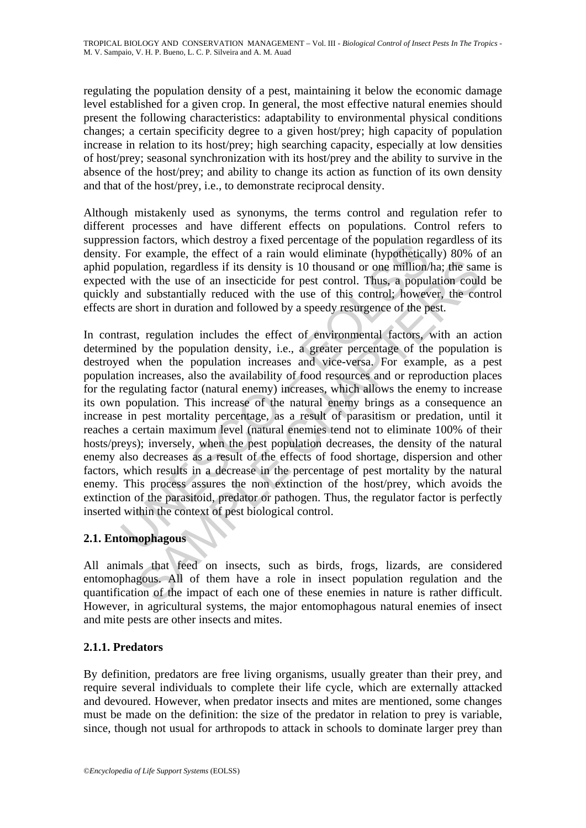regulating the population density of a pest, maintaining it below the economic damage level established for a given crop. In general, the most effective natural enemies should present the following characteristics: adaptability to environmental physical conditions changes; a certain specificity degree to a given host/prey; high capacity of population increase in relation to its host/prey; high searching capacity, especially at low densities of host/prey; seasonal synchronization with its host/prey and the ability to survive in the absence of the host/prey; and ability to change its action as function of its own density and that of the host/prey, i.e., to demonstrate reciprocal density.

Although mistakenly used as synonyms, the terms control and regulation refer to different processes and have different effects on populations. Control refers to suppression factors, which destroy a fixed percentage of the population regardless of its density. For example, the effect of a rain would eliminate (hypothetically) 80% of an aphid population, regardless if its density is 10 thousand or one million/ha; the same is expected with the use of an insecticide for pest control. Thus, a population could be quickly and substantially reduced with the use of this control; however, the control effects are short in duration and followed by a speedy resurgence of the pest.

Sometably, when the study at method and the population reactors, when the population, regardless if its density is 10 thousand or one million' of ortherical opulation, regardless if its density is 10 thousand or one milli identical controllation, regardless if its density is 10 thousand or one million/ha; the same video displantially reduced with the use of this control. Thus, a population could substantially reduced with the use of this co In contrast, regulation includes the effect of environmental factors, with an action determined by the population density, i.e., a greater percentage of the population is destroyed when the population increases and vice-versa. For example, as a pest population increases, also the availability of food resources and or reproduction places for the regulating factor (natural enemy) increases, which allows the enemy to increase its own population. This increase of the natural enemy brings as a consequence an increase in pest mortality percentage, as a result of parasitism or predation, until it reaches a certain maximum level (natural enemies tend not to eliminate 100% of their hosts/preys); inversely, when the pest population decreases, the density of the natural enemy also decreases as a result of the effects of food shortage, dispersion and other factors, which results in a decrease in the percentage of pest mortality by the natural enemy. This process assures the non extinction of the host/prey, which avoids the extinction of the parasitoid, predator or pathogen. Thus, the regulator factor is perfectly inserted within the context of pest biological control.

# **2.1. Entomophagous**

All animals that feed on insects, such as birds, frogs, lizards, are considered entomophagous. All of them have a role in insect population regulation and the quantification of the impact of each one of these enemies in nature is rather difficult. However, in agricultural systems, the major entomophagous natural enemies of insect and mite pests are other insects and mites.

## **2.1.1. Predators**

By definition, predators are free living organisms, usually greater than their prey, and require several individuals to complete their life cycle, which are externally attacked and devoured. However, when predator insects and mites are mentioned, some changes must be made on the definition: the size of the predator in relation to prey is variable, since, though not usual for arthropods to attack in schools to dominate larger prey than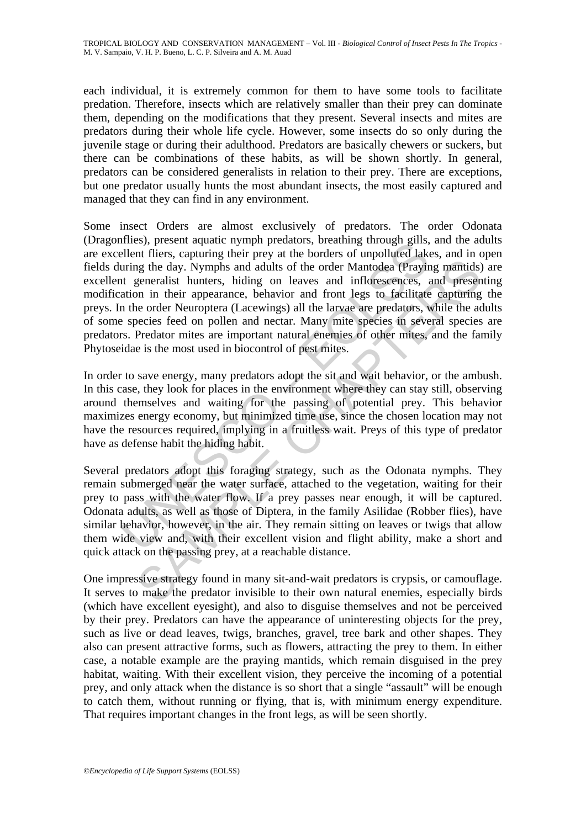each individual, it is extremely common for them to have some tools to facilitate predation. Therefore, insects which are relatively smaller than their prey can dominate them, depending on the modifications that they present. Several insects and mites are predators during their whole life cycle. However, some insects do so only during the juvenile stage or during their adulthood. Predators are basically chewers or suckers, but there can be combinations of these habits, as will be shown shortly. In general, predators can be considered generalists in relation to their prey. There are exceptions, but one predator usually hunts the most abundant insects, the most easily captured and managed that they can find in any environment.

meso, poesine algo and trippin precuators, oreaaning unough gims, pelant fliers, capturing their prey at the borders of unpolluted lake<br>uring the day. Nymphs and adults of the order Mantodea (Prayir<br>t generalist hunters, h ing the day. Nymphs and adults of the order Mantodea (Praying mantids)<br>generalist hunters, hiding on leaves and inflorescences, and present<br>on in their appearance, behavior and front legs to facilitate capturing<br>per ender Some insect Orders are almost exclusively of predators. The order Odonata (Dragonflies), present aquatic nymph predators, breathing through gills, and the adults are excellent fliers, capturing their prey at the borders of unpolluted lakes, and in open fields during the day. Nymphs and adults of the order Mantodea (Praying mantids) are excellent generalist hunters, hiding on leaves and inflorescences, and presenting modification in their appearance, behavior and front legs to facilitate capturing the preys. In the order Neuroptera (Lacewings) all the larvae are predators, while the adults of some species feed on pollen and nectar. Many mite species in several species are predators. Predator mites are important natural enemies of other mites, and the family Phytoseidae is the most used in biocontrol of pest mites.

In order to save energy, many predators adopt the sit and wait behavior, or the ambush. In this case, they look for places in the environment where they can stay still, observing around themselves and waiting for the passing of potential prey. This behavior maximizes energy economy, but minimized time use, since the chosen location may not have the resources required, implying in a fruitless wait. Preys of this type of predator have as defense habit the hiding habit.

Several predators adopt this foraging strategy, such as the Odonata nymphs. They remain submerged near the water surface, attached to the vegetation, waiting for their prey to pass with the water flow. If a prey passes near enough, it will be captured. Odonata adults, as well as those of Diptera, in the family Asilidae (Robber flies), have similar behavior, however, in the air. They remain sitting on leaves or twigs that allow them wide view and, with their excellent vision and flight ability, make a short and quick attack on the passing prey, at a reachable distance.

One impressive strategy found in many sit-and-wait predators is crypsis, or camouflage. It serves to make the predator invisible to their own natural enemies, especially birds (which have excellent eyesight), and also to disguise themselves and not be perceived by their prey. Predators can have the appearance of uninteresting objects for the prey, such as live or dead leaves, twigs, branches, gravel, tree bark and other shapes. They also can present attractive forms, such as flowers, attracting the prey to them. In either case, a notable example are the praying mantids, which remain disguised in the prey habitat, waiting. With their excellent vision, they perceive the incoming of a potential prey, and only attack when the distance is so short that a single "assault" will be enough to catch them, without running or flying, that is, with minimum energy expenditure. That requires important changes in the front legs, as will be seen shortly.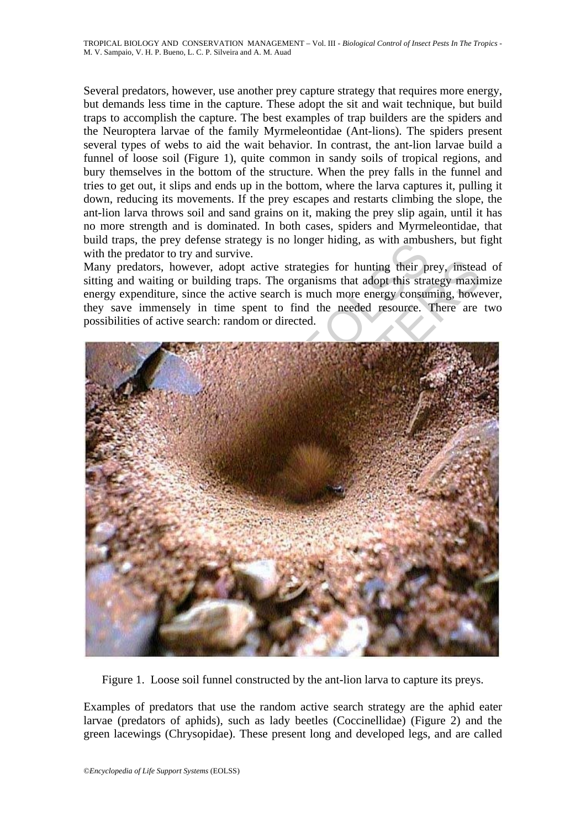Several predators, however, use another prey capture strategy that requires more energy, but demands less time in the capture. These adopt the sit and wait technique, but build traps to accomplish the capture. The best examples of trap builders are the spiders and the Neuroptera larvae of the family Myrmeleontidae (Ant-lions). The spiders present several types of webs to aid the wait behavior. In contrast, the ant-lion larvae build a funnel of loose soil (Figure 1), quite common in sandy soils of tropical regions, and bury themselves in the bottom of the structure. When the prey falls in the funnel and tries to get out, it slips and ends up in the bottom, where the larva captures it, pulling it down, reducing its movements. If the prey escapes and restarts climbing the slope, the ant-lion larva throws soil and sand grains on it, making the prey slip again, until it has no more strength and is dominated. In both cases, spiders and Myrmeleontidae, that build traps, the prey defense strategy is no longer hiding, as with ambushers, but fight with the predator to try and survive.

Many predators, however, adopt active strategies for hunting their prey, instead of sitting and waiting or building traps. The organisms that adopt this strategy maximize energy expenditure, since the active search is much more energy consuming, however, they save immensely in time spent to find the needed resource. There are two possibilities of active search: random or directed.



Figure 1. Loose soil funnel constructed by the ant-lion larva to capture its preys.

Examples of predators that use the random active search strategy are the aphid eater larvae (predators of aphids), such as lady beetles (Coccinellidae) (Figure 2) and the green lacewings (Chrysopidae). These present long and developed legs, and are called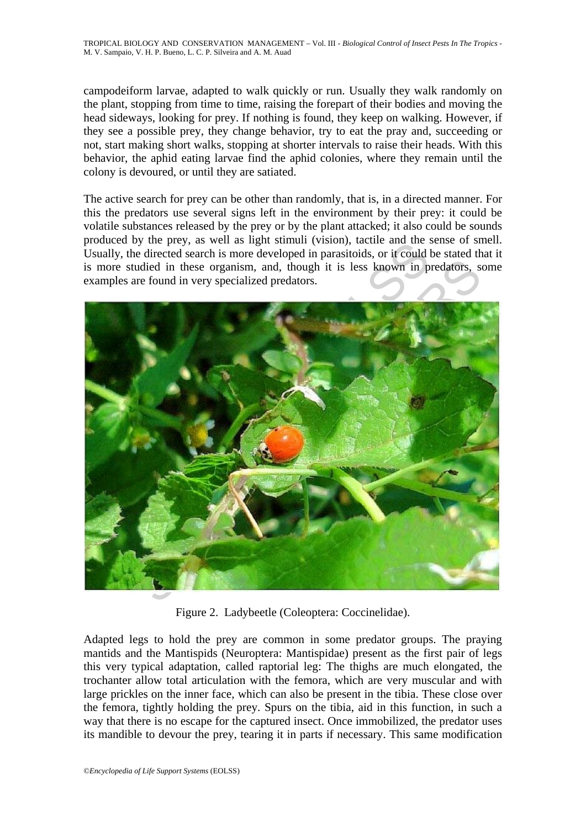campodeiform larvae, adapted to walk quickly or run. Usually they walk randomly on the plant, stopping from time to time, raising the forepart of their bodies and moving the head sideways, looking for prey. If nothing is found, they keep on walking. However, if they see a possible prey, they change behavior, try to eat the pray and, succeeding or not, start making short walks, stopping at shorter intervals to raise their heads. With this behavior, the aphid eating larvae find the aphid colonies, where they remain until the colony is devoured, or until they are satiated.

The active search for prey can be other than randomly, that is, in a directed manner. For this the predators use several signs left in the environment by their prey: it could be volatile substances released by the prey or by the plant attacked; it also could be sounds produced by the prey, as well as light stimuli (vision), tactile and the sense of smell. Usually, the directed search is more developed in parasitoids, or it could be stated that it is more studied in these organism, and, though it is less known in predators, some examples are found in very specialized predators.



Figure 2. Ladybeetle (Coleoptera: Coccinelidae).

Adapted legs to hold the prey are common in some predator groups. The praying mantids and the Mantispids (Neuroptera: Mantispidae) present as the first pair of legs this very typical adaptation, called raptorial leg: The thighs are much elongated, the trochanter allow total articulation with the femora, which are very muscular and with large prickles on the inner face, which can also be present in the tibia. These close over the femora, tightly holding the prey. Spurs on the tibia, aid in this function, in such a way that there is no escape for the captured insect. Once immobilized, the predator uses its mandible to devour the prey, tearing it in parts if necessary. This same modification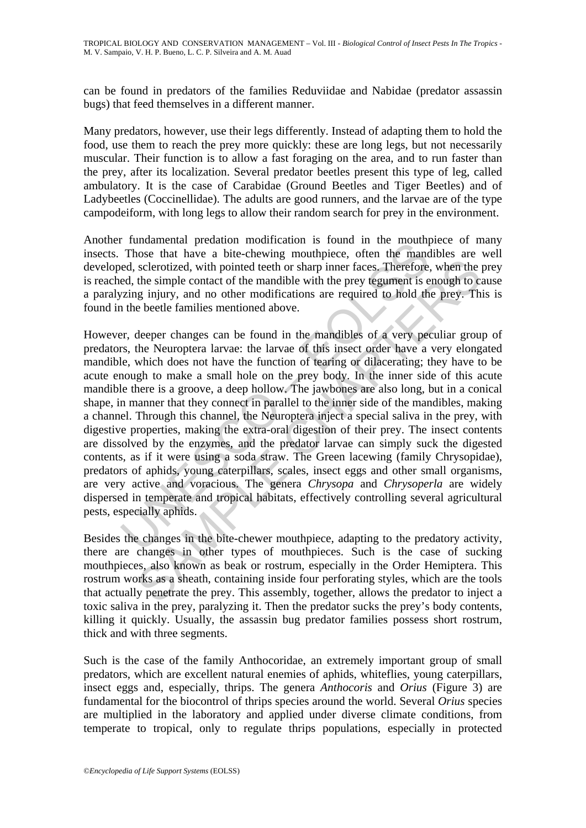can be found in predators of the families Reduviidae and Nabidae (predator assassin bugs) that feed themselves in a different manner.

Many predators, however, use their legs differently. Instead of adapting them to hold the food, use them to reach the prey more quickly: these are long legs, but not necessarily muscular. Their function is to allow a fast foraging on the area, and to run faster than the prey, after its localization. Several predator beetles present this type of leg, called ambulatory. It is the case of Carabidae (Ground Beetles and Tiger Beetles) and of Ladybeetles (Coccinellidae). The adults are good runners, and the larvae are of the type campodeiform, with long legs to allow their random search for prey in the environment.

Another fundamental predation modification is found in the mouthpiece of many insects. Those that have a bite-chewing mouthpiece, often the mandibles are well developed, sclerotized, with pointed teeth or sharp inner faces. Therefore, when the prey is reached, the simple contact of the mandible with the prey tegument is enough to cause a paralyzing injury, and no other modifications are required to hold the prey. This is found in the beetle families mentioned above.

Finameterian preduation information in South in the moutum<br>Those that have a bite-chewing mouthpiece, often the mand<br>ed, sclerotized, with pointed teeth or sharp inner faces. Therefore,<br>ed, the simple contact of the mandib sclerotized, with pointed teeth or sharp inner faces. Therefore, when the the simple contact of the mandible with the prey tegument is enough to can be the simple contact of the mandible with the prey tegument is enough to However, deeper changes can be found in the mandibles of a very peculiar group of predators, the Neuroptera larvae: the larvae of this insect order have a very elongated mandible, which does not have the function of tearing or dilacerating; they have to be acute enough to make a small hole on the prey body. In the inner side of this acute mandible there is a groove, a deep hollow. The jawbones are also long, but in a conical shape, in manner that they connect in parallel to the inner side of the mandibles, making a channel. Through this channel, the Neuroptera inject a special saliva in the prey, with digestive properties, making the extra-oral digestion of their prey. The insect contents are dissolved by the enzymes, and the predator larvae can simply suck the digested contents, as if it were using a soda straw. The Green lacewing (family Chrysopidae), predators of aphids, young caterpillars, scales, insect eggs and other small organisms, are very active and voracious. The genera *Chrysopa* and *Chrysoperla* are widely dispersed in temperate and tropical habitats, effectively controlling several agricultural pests, especially aphids.

Besides the changes in the bite-chewer mouthpiece, adapting to the predatory activity, there are changes in other types of mouthpieces. Such is the case of sucking mouthpieces, also known as beak or rostrum, especially in the Order Hemiptera. This rostrum works as a sheath, containing inside four perforating styles, which are the tools that actually penetrate the prey. This assembly, together, allows the predator to inject a toxic saliva in the prey, paralyzing it. Then the predator sucks the prey's body contents, killing it quickly. Usually, the assassin bug predator families possess short rostrum, thick and with three segments.

Such is the case of the family Anthocoridae, an extremely important group of small predators, which are excellent natural enemies of aphids, whiteflies, young caterpillars, insect eggs and, especially, thrips. The genera *Anthocoris* and *Orius* (Figure 3) are fundamental for the biocontrol of thrips species around the world. Several *Orius* species are multiplied in the laboratory and applied under diverse climate conditions, from temperate to tropical, only to regulate thrips populations, especially in protected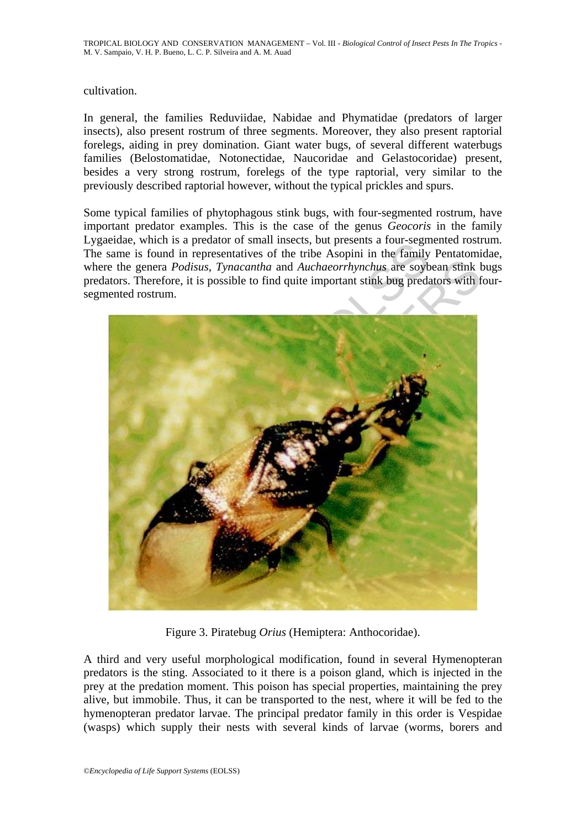### cultivation.

In general, the families Reduviidae, Nabidae and Phymatidae (predators of larger insects), also present rostrum of three segments. Moreover, they also present raptorial forelegs, aiding in prey domination. Giant water bugs, of several different waterbugs families (Belostomatidae, Notonectidae, Naucoridae and Gelastocoridae) present, besides a very strong rostrum, forelegs of the type raptorial, very similar to the previously described raptorial however, without the typical prickles and spurs.

Some typical families of phytophagous stink bugs, with four-segmented rostrum, have important predator examples. This is the case of the genus *Geocoris* in the family Lygaeidae, which is a predator of small insects, but presents a four-segmented rostrum. The same is found in representatives of the tribe Asopini in the family Pentatomidae, where the genera *Podisus*, *Tynacantha* and *Auchaeorrhynchus* are soybean stink bugs predators. Therefore, it is possible to find quite important stink bug predators with foursegmented rostrum.



Figure 3. Piratebug *Orius* (Hemiptera: Anthocoridae).

A third and very useful morphological modification, found in several Hymenopteran predators is the sting. Associated to it there is a poison gland, which is injected in the prey at the predation moment. This poison has special properties, maintaining the prey alive, but immobile. Thus, it can be transported to the nest, where it will be fed to the hymenopteran predator larvae. The principal predator family in this order is Vespidae (wasps) which supply their nests with several kinds of larvae (worms, borers and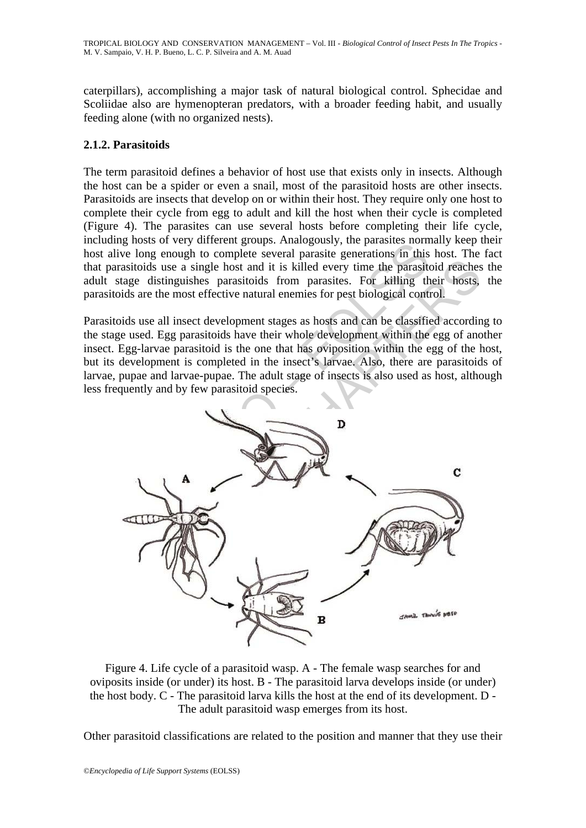caterpillars), accomplishing a major task of natural biological control. Sphecidae and Scoliidae also are hymenopteran predators, with a broader feeding habit, and usually feeding alone (with no organized nests).

## **2.1.2. Parasitoids**

The term parasitoid defines a behavior of host use that exists only in insects. Although the host can be a spider or even a snail, most of the parasitoid hosts are other insects. Parasitoids are insects that develop on or within their host. They require only one host to complete their cycle from egg to adult and kill the host when their cycle is completed (Figure 4). The parasites can use several hosts before completing their life cycle, including hosts of very different groups. Analogously, the parasites normally keep their host alive long enough to complete several parasite generations in this host. The fact that parasitoids use a single host and it is killed every time the parasitoid reaches the adult stage distinguishes parasitoids from parasites. For killing their hosts, the parasitoids are the most effective natural enemies for pest biological control.

Parasitoids use all insect development stages as hosts and can be classified according to the stage used. Egg parasitoids have their whole development within the egg of another insect. Egg-larvae parasitoid is the one that has oviposition within the egg of the host, but its development is completed in the insect's larvae. Also, there are parasitoids of larvae, pupae and larvae-pupae. The adult stage of insects is also used as host, although less frequently and by few parasitoid species.



Figure 4. Life cycle of a parasitoid wasp. A - The female wasp searches for and oviposits inside (or under) its host. B - The parasitoid larva develops inside (or under) the host body. C - The parasitoid larva kills the host at the end of its development. D - The adult parasitoid wasp emerges from its host.

Other parasitoid classifications are related to the position and manner that they use their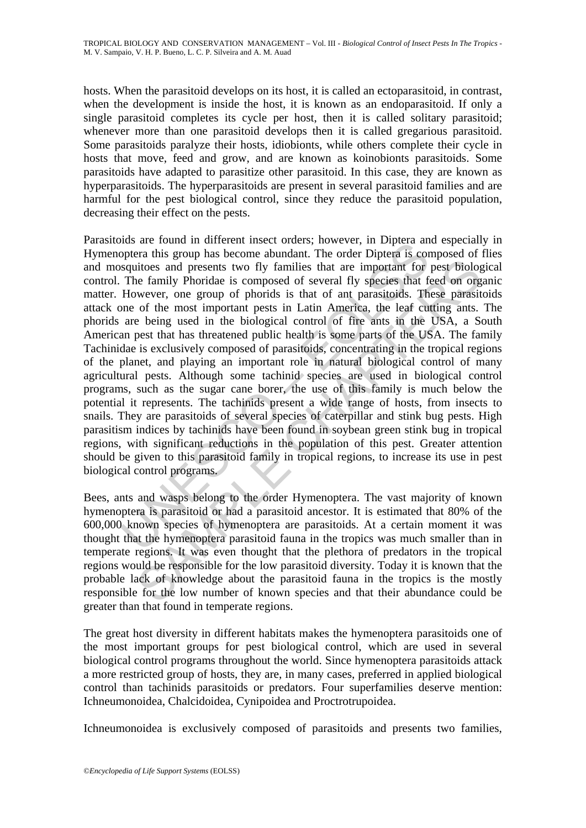hosts. When the parasitoid develops on its host, it is called an ectoparasitoid, in contrast, when the development is inside the host, it is known as an endoparasitoid. If only a single parasitoid completes its cycle per host, then it is called solitary parasitoid; whenever more than one parasitoid develops then it is called gregarious parasitoid. Some parasitoids paralyze their hosts, idiobionts, while others complete their cycle in hosts that move, feed and grow, and are known as koinobionts parasitoids. Some parasitoids have adapted to parasitize other parasitoid. In this case, they are known as hyperparasitoids. The hyperparasitoids are present in several parasitoid families and are harmful for the pest biological control, since they reduce the parasitoid population, decreasing their effect on the pests.

obserts in the minder insect ories, nowever, in Diplera and<br>opptera this group has become abundant. The order Diptera is consquitoes and presents two fly families that are important for<br>Spaquitoes and presents two fly fami itios and presents two fly families that are important for pest biolog<br>titoss and presents two fly families that are important for pest biolog<br>wever, one group of phorids is that of an parasitoids. These parasit<br>of the mos Parasitoids are found in different insect orders; however, in Diptera and especially in Hymenoptera this group has become abundant. The order Diptera is composed of flies and mosquitoes and presents two fly families that are important for pest biological control. The family Phoridae is composed of several fly species that feed on organic matter. However, one group of phorids is that of ant parasitoids. These parasitoids attack one of the most important pests in Latin America, the leaf cutting ants. The phorids are being used in the biological control of fire ants in the USA, a South American pest that has threatened public health is some parts of the USA. The family Tachinidae is exclusively composed of parasitoids, concentrating in the tropical regions of the planet, and playing an important role in natural biological control of many agricultural pests. Although some tachinid species are used in biological control programs, such as the sugar cane borer, the use of this family is much below the potential it represents. The tachinids present a wide range of hosts, from insects to snails. They are parasitoids of several species of caterpillar and stink bug pests. High parasitism indices by tachinids have been found in soybean green stink bug in tropical regions, with significant reductions in the population of this pest. Greater attention should be given to this parasitoid family in tropical regions, to increase its use in pest biological control programs.

Bees, ants and wasps belong to the order Hymenoptera. The vast majority of known hymenoptera is parasitoid or had a parasitoid ancestor. It is estimated that 80% of the 600,000 known species of hymenoptera are parasitoids. At a certain moment it was thought that the hymenoptera parasitoid fauna in the tropics was much smaller than in temperate regions. It was even thought that the plethora of predators in the tropical regions would be responsible for the low parasitoid diversity. Today it is known that the probable lack of knowledge about the parasitoid fauna in the tropics is the mostly responsible for the low number of known species and that their abundance could be greater than that found in temperate regions.

The great host diversity in different habitats makes the hymenoptera parasitoids one of the most important groups for pest biological control, which are used in several biological control programs throughout the world. Since hymenoptera parasitoids attack a more restricted group of hosts, they are, in many cases, preferred in applied biological control than tachinids parasitoids or predators. Four superfamilies deserve mention: Ichneumonoidea, Chalcidoidea, Cynipoidea and Proctrotrupoidea.

Ichneumonoidea is exclusively composed of parasitoids and presents two families,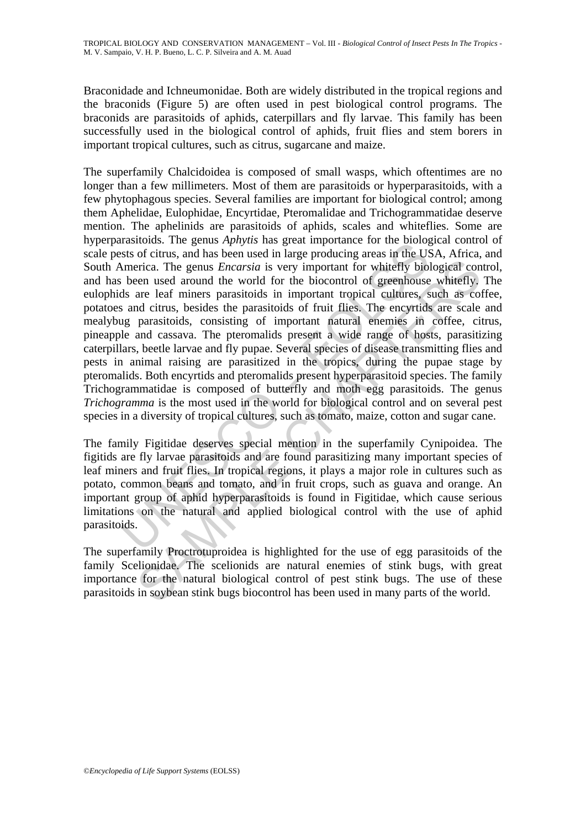Braconidade and Ichneumonidae. Both are widely distributed in the tropical regions and the braconids (Figure 5) are often used in pest biological control programs. The braconids are parasitoids of aphids, caterpillars and fly larvae. This family has been successfully used in the biological control of aphids, fruit flies and stem borers in important tropical cultures, such as citrus, sugarcane and maize.

aliasions. The genus *Applyins* has geta importance for the bloogstocks of citrus, and has been used in large producing areas in the USM merica. The genus *Encarsia* is very important for whitefly biolistic been used aroun exercica. The genus *Encarsia* is very important for whitefly biological conen used around the world for the biocontrol of greenhouse whitefly, are leaf miners parasitoids in important topical cultures, such as collear and The superfamily Chalcidoidea is composed of small wasps, which oftentimes are no longer than a few millimeters. Most of them are parasitoids or hyperparasitoids, with a few phytophagous species. Several families are important for biological control; among them Aphelidae, Eulophidae, Encyrtidae, Pteromalidae and Trichogrammatidae deserve mention. The aphelinids are parasitoids of aphids, scales and whiteflies. Some are hyperparasitoids. The genus *Aphytis* has great importance for the biological control of scale pests of citrus, and has been used in large producing areas in the USA, Africa, and South America. The genus *Encarsia* is very important for whitefly biological control, and has been used around the world for the biocontrol of greenhouse whitefly. The eulophids are leaf miners parasitoids in important tropical cultures, such as coffee, potatoes and citrus, besides the parasitoids of fruit flies. The encyrtids are scale and mealybug parasitoids, consisting of important natural enemies in coffee, citrus, pineapple and cassava. The pteromalids present a wide range of hosts, parasitizing caterpillars, beetle larvae and fly pupae. Several species of disease transmitting flies and pests in animal raising are parasitized in the tropics, during the pupae stage by pteromalids. Both encyrtids and pteromalids present hyperparasitoid species. The family Trichogrammatidae is composed of butterfly and moth egg parasitoids. The genus *Trichogramma* is the most used in the world for biological control and on several pest species in a diversity of tropical cultures, such as tomato, maize, cotton and sugar cane.

The family Figitidae deserves special mention in the superfamily Cynipoidea. The figitids are fly larvae parasitoids and are found parasitizing many important species of leaf miners and fruit flies. In tropical regions, it plays a major role in cultures such as potato, common beans and tomato, and in fruit crops, such as guava and orange. An important group of aphid hyperparasitoids is found in Figitidae, which cause serious limitations on the natural and applied biological control with the use of aphid parasitoids.

The superfamily Proctrotuproidea is highlighted for the use of egg parasitoids of the family Scelionidae. The scelionids are natural enemies of stink bugs, with great importance for the natural biological control of pest stink bugs. The use of these parasitoids in soybean stink bugs biocontrol has been used in many parts of the world.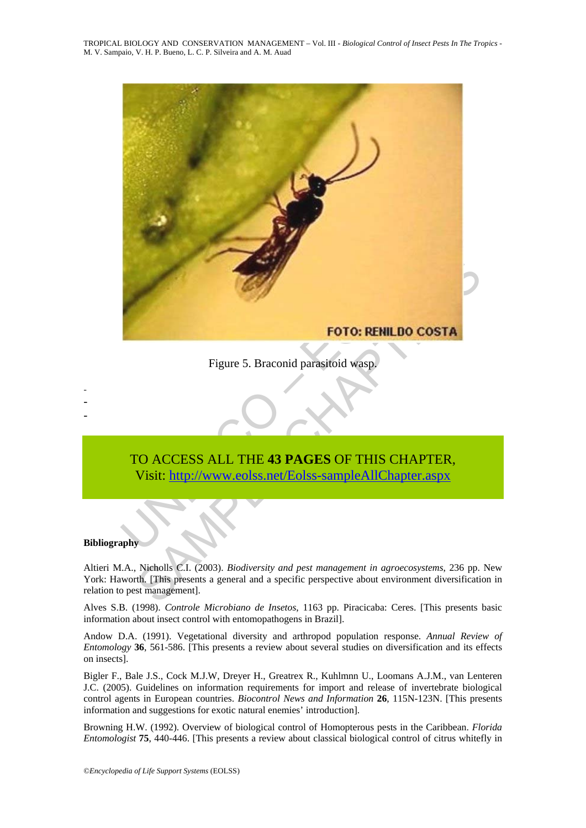TROPICAL BIOLOGY AND CONSERVATION MANAGEMENT – Vol. III - *Biological Control of Insect Pests In The Tropics* - M. V. Sampaio, V. H. P. Bueno, L. C. P. Silveira and A. M. Auad



Figure 5. Braconid parasitoid wasp.

# TO ACCESS ALL THE **43 PAGES** OF THIS CHAPTER, Visit: http://www.eolss.net/Eolss-sampleAllChapter.aspx

#### **Bibliography**

- - -

Altieri M.A., Nicholls C.I. (2003). *Biodiversity and pest management in agroecosystems*, 236 pp. New York: Haworth. [This presents a general and a specific perspective about environment diversification in relation to pest management].

Alves S.B. (1998). *Controle Microbiano de Insetos*, 1163 pp. Piracicaba: Ceres. [This presents basic information about insect control with entomopathogens in Brazil].

Andow D.A. (1991). Vegetational diversity and arthropod population response. *Annual Review of Entomology* **36**, 561-586. [This presents a review about several studies on diversification and its effects on insects].

Bigler F., Bale J.S., Cock M.J.W, Dreyer H., Greatrex R., Kuhlmnn U., Loomans A.J.M., van Lenteren J.C. (2005). Guidelines on information requirements for import and release of invertebrate biological control agents in European countries. *Biocontrol News and Information* **26**, 115N-123N. [This presents information and suggestions for exotic natural enemies' introduction].

Browning H.W. (1992). Overview of biological control of Homopterous pests in the Caribbean. *Florida Entomologist* **75**, 440-446. [This presents a review about classical biological control of citrus whitefly in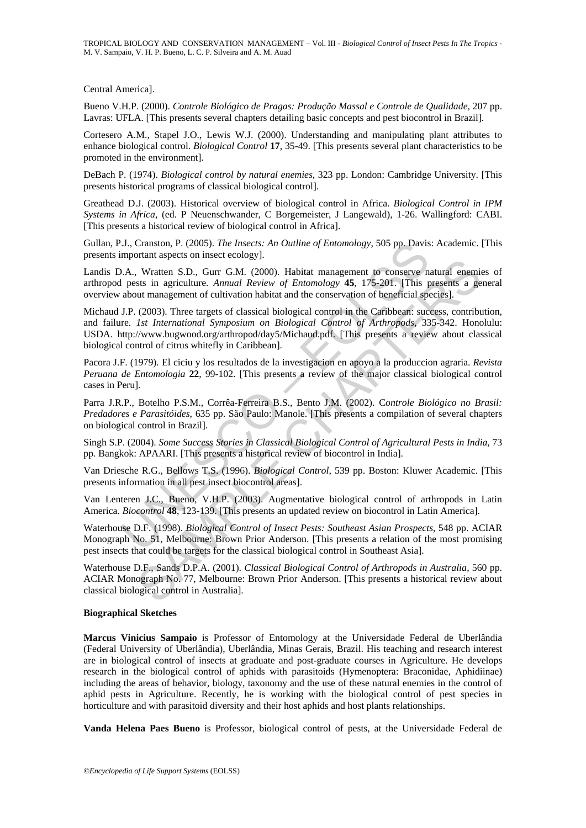TROPICAL BIOLOGY AND CONSERVATION MANAGEMENT – Vol. III - *Biological Control of Insect Pests In The Tropics* - M. V. Sampaio, V. H. P. Bueno, L. C. P. Silveira and A. M. Auad

Central America].

Bueno V.H.P. (2000). *Controle Biológico de Pragas: Produção Massal e Controle de Qualidade*, 207 pp. Lavras: UFLA. [This presents several chapters detailing basic concepts and pest biocontrol in Brazil].

Cortesero A.M., Stapel J.O., Lewis W.J. (2000). Understanding and manipulating plant attributes to enhance biological control. *Biological Control* **17**, 35-49. [This presents several plant characteristics to be promoted in the environment].

DeBach P. (1974). *Biological control by natural enemies*, 323 pp. London: Cambridge University. [This presents historical programs of classical biological control].

Greathead D.J. (2003). Historical overview of biological control in Africa. *Biological Control in IPM Systems in Africa*, (ed. P Neuenschwander, C Borgemeister, J Langewald), 1-26. Wallingford: CABI. [This presents a historical review of biological control in Africa].

Gullan, P.J., Cranston, P. (2005). *The Insects: An Outline of Entomology*, 505 pp. Davis: Academic. [This presents important aspects on insect ecology].

Landis D.A., Wratten S.D., Gurr G.M. (2000). Habitat management to conserve natural enemies of arthropod pests in agriculture. *Annual Review of Entomology* **45**, 175-201. [This presents a general overview about management of cultivation habitat and the conservation of beneficial species].

1J., Cranston, P. (2005). *The Insects: An Outline of Entomology*, 505 pp. Davis<br>mportant aspects on insect ecology].<br>A., Wratten S.D., Gurr G.M. (2000). Habitat management to conserve n.<br>A., Wratten S.D., Gurr G.M. (2000 STRINGTON THEONOMIC CONSIDENT (IT). The UNITRID MORE THAND IN UNITRID TO EXECUTE THART AND INCREDIBY AS 175-201. This presents a gent unanagement of cultivation habitat and the conservation of beneficial species). COOS). Michaud J.P. (2003). Three targets of classical biological control in the Caribbean: success, contribution, and failure. *1st International Symposium on Biological Control of Arthropods,* 335-342. Honolulu: USDA. http://www.bugwood.org/arthropod/day5/Michaud.pdf. [This presents a review about classical biological control of citrus whitefly in Caribbean].

Pacora J.F. (1979). El ciciu y los resultados de la investigacion en apoyo a la produccion agraria. *Revista Peruana de Entomologia* **22**, 99-102. [This presents a review of the major classical biological control cases in Peru].

Parra J.R.P., Botelho P.S.M., Corrêa-Ferreira B.S., Bento J.M. (2002). C*ontrole Biológico no Brasil: Predadores e Parasitóides*, 635 pp. São Paulo: Manole. [This presents a compilation of several chapters on biological control in Brazil].

Singh S.P. (2004). *Some Success Stories in Classical Biological Control of Agricultural Pests in India*, 73 pp. Bangkok: APAARI. [This presents a historical review of biocontrol in India].

Van Driesche R.G., Bellows T.S. (1996). *Biological Control*, 539 pp. Boston: Kluwer Academic. [This presents information in all pest insect biocontrol areas].

Van Lenteren J.C., Bueno, V.H.P. (2003). Augmentative biological control of arthropods in Latin America. *Biocontrol* **48**, 123-139. [This presents an updated review on biocontrol in Latin America].

Waterhouse D.F. (1998). *Biological Control of Insect Pests: Southeast Asian Prospects*, 548 pp. ACIAR Monograph No. 51, Melbourne: Brown Prior Anderson. [This presents a relation of the most promising pest insects that could be targets for the classical biological control in Southeast Asia].

Waterhouse D.F., Sands D.P.A. (2001). *Classical Biological Control of Arthropods in Australia*, 560 pp. ACIAR Monograph No. 77, Melbourne: Brown Prior Anderson. [This presents a historical review about classical biological control in Australia].

#### **Biographical Sketches**

**Marcus Vinicius Sampaio** is Professor of Entomology at the Universidade Federal de Uberlândia (Federal University of Uberlândia), Uberlândia, Minas Gerais, Brazil. His teaching and research interest are in biological control of insects at graduate and post-graduate courses in Agriculture. He develops research in the biological control of aphids with parasitoids (Hymenoptera: Braconidae, Aphidiinae) including the areas of behavior, biology, taxonomy and the use of these natural enemies in the control of aphid pests in Agriculture. Recently, he is working with the biological control of pest species in horticulture and with parasitoid diversity and their host aphids and host plants relationships.

**Vanda Helena Paes Bueno** is Professor, biological control of pests, at the Universidade Federal de